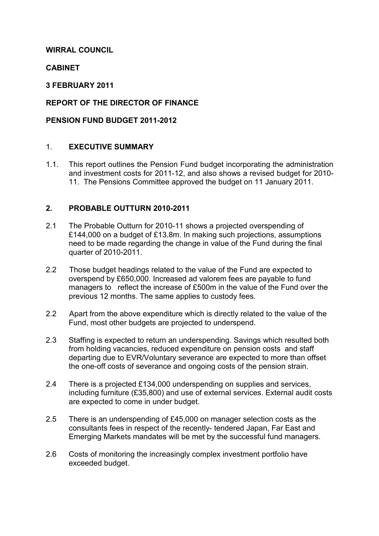### **WIRRAL COUNCIL**

#### **CABINET**

#### **3 FEBRUARY 2011**

### **REPORT OF THE DIRECTOR OF FINANCE**

#### **PENSION FUND BUDGET 2011-2012**

#### 1. **EXECUTIVE SUMMARY**

1.1. This report outlines the Pension Fund budget incorporating the administration and investment costs for 2011-12, and also shows a revised budget for 2010- 11. The Pensions Committee approved the budget on 11 January 2011.

#### **2. PROBABLE OUTTURN 2010-2011**

- 2.1 The Probable Outturn for 2010-11 shows a projected overspending of £144,000 on a budget of £13.8m. In making such projections, assumptions need to be made regarding the change in value of the Fund during the final quarter of 2010-2011.
- 2.2 Those budget headings related to the value of the Fund are expected to overspend by £650,000. Increased ad valorem fees are payable to fund managers to reflect the increase of £500m in the value of the Fund over the previous 12 months. The same applies to custody fees.
- 2.2 Apart from the above expenditure which is directly related to the value of the Fund, most other budgets are projected to underspend.
- 2.3 Staffing is expected to return an underspending. Savings which resulted both from holding vacancies, reduced expenditure on pension costs and staff departing due to EVR/Voluntary severance are expected to more than offset the one-off costs of severance and ongoing costs of the pension strain.
- 2.4 There is a projected £134,000 underspending on supplies and services, including furniture (£35,800) and use of external services. External audit costs are expected to come in under budget.
- 2.5 There is an underspending of £45,000 on manager selection costs as the consultants fees in respect of the recently- tendered Japan, Far East and Emerging Markets mandates will be met by the successful fund managers.
- 2.6 Costs of monitoring the increasingly complex investment portfolio have exceeded budget.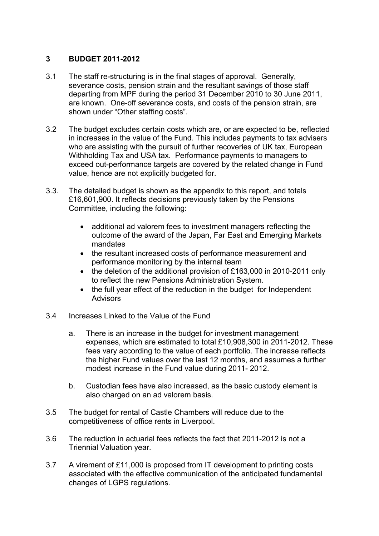### **3 BUDGET 2011-2012**

- 3.1 The staff re-structuring is in the final stages of approval. Generally, severance costs, pension strain and the resultant savings of those staff departing from MPF during the period 31 December 2010 to 30 June 2011, are known. One-off severance costs, and costs of the pension strain, are shown under "Other staffing costs".
- 3.2 The budget excludes certain costs which are, or are expected to be, reflected in increases in the value of the Fund. This includes payments to tax advisers who are assisting with the pursuit of further recoveries of UK tax, European Withholding Tax and USA tax. Performance payments to managers to exceed out-performance targets are covered by the related change in Fund value, hence are not explicitly budgeted for.
- 3.3. The detailed budget is shown as the appendix to this report, and totals £16,601,900. It reflects decisions previously taken by the Pensions Committee, including the following:
	- additional ad valorem fees to investment managers reflecting the outcome of the award of the Japan, Far East and Emerging Markets mandates
	- the resultant increased costs of performance measurement and performance monitoring by the internal team
	- the deletion of the additional provision of £163,000 in 2010-2011 only to reflect the new Pensions Administration System.
	- the full year effect of the reduction in the budget for Independent **Advisors**
- 3.4 Increases Linked to the Value of the Fund
	- a. There is an increase in the budget for investment management expenses, which are estimated to total £10,908,300 in 2011-2012. These fees vary according to the value of each portfolio. The increase reflects the higher Fund values over the last 12 months, and assumes a further modest increase in the Fund value during 2011- 2012.
	- b. Custodian fees have also increased, as the basic custody element is also charged on an ad valorem basis.
- 3.5 The budget for rental of Castle Chambers will reduce due to the competitiveness of office rents in Liverpool.
- 3.6 The reduction in actuarial fees reflects the fact that 2011-2012 is not a Triennial Valuation year.
- 3.7 A virement of £11,000 is proposed from IT development to printing costs associated with the effective communication of the anticipated fundamental changes of LGPS regulations.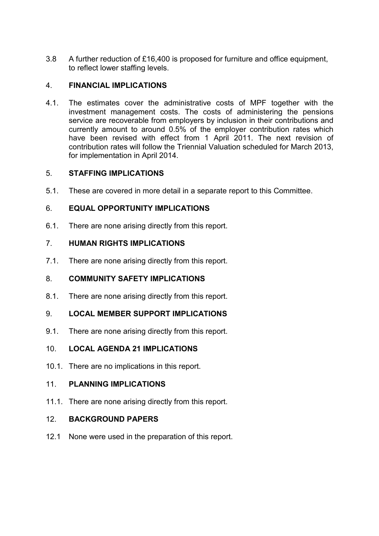3.8 A further reduction of £16,400 is proposed for furniture and office equipment, to reflect lower staffing levels.

# 4. **FINANCIAL IMPLICATIONS**

4.1. The estimates cover the administrative costs of MPF together with the investment management costs. The costs of administering the pensions service are recoverable from employers by inclusion in their contributions and currently amount to around 0.5% of the employer contribution rates which have been revised with effect from 1 April 2011. The next revision of contribution rates will follow the Triennial Valuation scheduled for March 2013, for implementation in April 2014.

# 5. **STAFFING IMPLICATIONS**

5.1. These are covered in more detail in a separate report to this Committee.

# 6. **EQUAL OPPORTUNITY IMPLICATIONS**

6.1. There are none arising directly from this report.

# 7. **HUMAN RIGHTS IMPLICATIONS**

7.1. There are none arising directly from this report.

# 8. **COMMUNITY SAFETY IMPLICATIONS**

8.1. There are none arising directly from this report.

# 9. **LOCAL MEMBER SUPPORT IMPLICATIONS**

9.1. There are none arising directly from this report.

# 10. **LOCAL AGENDA 21 IMPLICATIONS**

10.1. There are no implications in this report.

# 11. **PLANNING IMPLICATIONS**

11.1. There are none arising directly from this report.

# 12. **BACKGROUND PAPERS**

12.1 None were used in the preparation of this report.